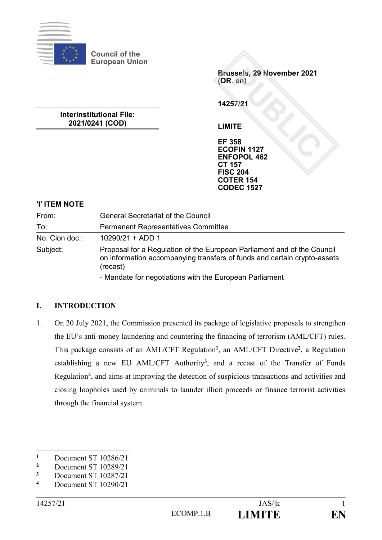

**Council of the European Union**

> **Brussels, 29 November 2021 (OR. en)**

**14257/21**

**LIMITE**

**EF 358 ECOFIN 1127 ENFOPOL 462 CT 157 FISC 204 COTER 154 CODEC 1527**

# **Interinstitutional File: 2021/0241 (COD)**

# **'I' ITEM NOTE**

| From:          | <b>General Secretariat of the Council</b>                                                                                                                       |
|----------------|-----------------------------------------------------------------------------------------------------------------------------------------------------------------|
| To:            | <b>Permanent Representatives Committee</b>                                                                                                                      |
| No. Cion doc.: | $10290/21 + ADD 1$                                                                                                                                              |
| Subject:       | Proposal for a Regulation of the European Parliament and of the Council<br>on information accompanying transfers of funds and certain crypto-assets<br>(recast) |
|                | - Mandate for negotiations with the European Parliament                                                                                                         |

## **I. INTRODUCTION**

1. On 20 July 2021, the Commission presented its package of legislative proposals to strengthen the EU's anti-money laundering and countering the financing of terrorism (AML/CFT) rules. This package consists of an AML/CFT Regulation**<sup>1</sup>** , an AML/CFT Directive**<sup>2</sup>** , a Regulation establishing a new EU AML/CFT Authority**<sup>3</sup>** , and a recast of the Transfer of Funds Regulation**<sup>4</sup>** , and aims at improving the detection of suspicious transactions and activities and closing loopholes used by criminals to launder illicit proceeds or finance terrorist activities through the financial system.

1

**<sup>1</sup>** Document ST 10286/21<br>**2** Document ST 10289/21

<sup>&</sup>lt;sup>2</sup> Document ST 10289/21<br><sup>3</sup> Document ST 10287/21

<sup>&</sup>lt;sup>3</sup> Document ST 10287/21

**<sup>4</sup>** Document ST 10290/21